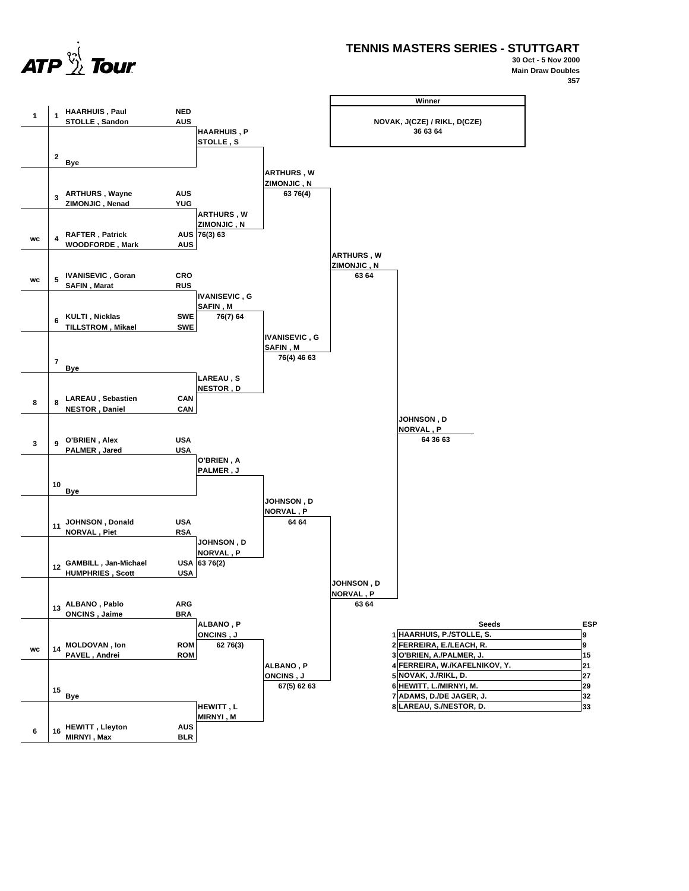

**TENNIS MASTERS SERIES - STUTTGART**

**30 Oct - 5 Nov 2000 Main Draw Doubles 357**